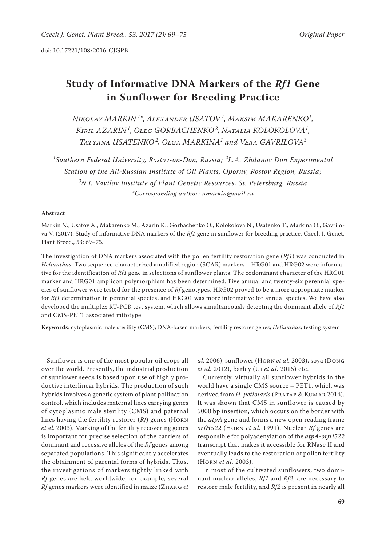# **Study of Informative DNA Markers of the** *Rf1* **Gene in Sunflower for Breeding Practice**

*Nikolay MARKIN <sup>1</sup> \*, Alexander USATOV<sup>1</sup> , Maksim MAKARENKO<sup>1</sup> , Kiril AZARIN <sup>1</sup> , Oleg GORBACHENKO <sup>2</sup> , Natalia KOLOKOLOVA<sup>1</sup> , Tatyana USATENKO <sup>2</sup> , Olga MARKINA<sup>1</sup> and Vera GAVRILOVA<sup>3</sup>*

*1 Southern Federal University, Rostov-on-Don, Russia; <sup>2</sup> L.A. Zhdanov Don Experimental Station of the All-Russian Institute of Oil Plants, Oporny, Rostov Region, Russia; 3 N.I. Vavilov Institute of Plant Genetic Resources, St. Petersburg, Russia \*Corresponding author: nmarkin@mail.ru*

### **Abstract**

Markin N., Usatov A., Makarenko M., Azarin K., Gorbachenko O., Kolokolova N., Usatenko T., Markina O., Gavrilova V. (2017): Study of informative DNA markers of the *Rf1* gene in sunflower for breeding practice. Czech J. Genet. Plant Breed., 53: 69−75.

The investigation of DNA markers associated with the pollen fertility restoration gene (*Rf1*) was conducted in *Helianthus*. Two sequence-characterized amplified region (SCAR) markers – HRG01 and HRG02 were informative for the identification of *Rf1* gene in selections of sunflower plants. The codominant character of the HRG01 marker and HRG01 amplicon polymorphism has been determined. Five annual and twenty-six perennial species of sunflower were tested for the presence of *Rf* genotypes. HRG02 proved to be a more appropriate marker for *Rf1* determination in perennial species, and HRG01 was more informative for annual species. We have also developed the multiplex RT-PCR test system, which allows simultaneously detecting the dominant allele of *Rf1* and CMS-PET1 associated mitotype.

**Keywords**: cytoplasmic male sterility (CMS); DNA-based markers; fertility restorer genes; *Helianthus*; testing system

Sunflower is one of the most popular oil crops all over the world. Presently, the industrial production of sunflower seeds is based upon use of highly productive interlinear hybrids. The production of such hybrids involves a genetic system of plant pollination control, which includes maternal lines carrying genes of cytoplasmic male sterility (CMS) and paternal lines having the fertility restorer (*Rf*) genes (Horn *et al.* 2003). Marking of the fertility recovering genes is important for precise selection of the carriers of dominant and recessive alleles of the *Rf* genes among separated populations. This significantly accelerates the obtainment of parental forms of hybrids. Thus, the investigations of markers tightly linked with *Rf* genes are held worldwide, for example, several *Rf* genes markers were identified in maize (Zhang *et*  *al.* 2006), sunflower (Horn *et al.* 2003), soya (Dong *et al.* 2012), barley (Ui *et al.* 2015) etc.

Currently, virtually all sunflower hybrids in the world have a single CMS source – PET1, which was derived from *H. petiolaris* (PRATAP & KUMAR 2014). It was shown that CMS in sunflower is caused by 5000 bp insertion, which occurs on the border with the *atpA* gene and forms a new open reading frame *orfH522* (Horn *et al.* 1991). Nuclear *Rf* genes are responsible for polyadenylation of the *atpA-orfH522* transcript that makes it accessible for RNase II and eventually leads to the restoration of pollen fertility (Horn *et al.* 2003).

In most of the cultivated sunflowers, two dominant nuclear alleles, *Rf1* and *Rf2*, are necessary to restore male fertility, and *Rf2* is present in nearly all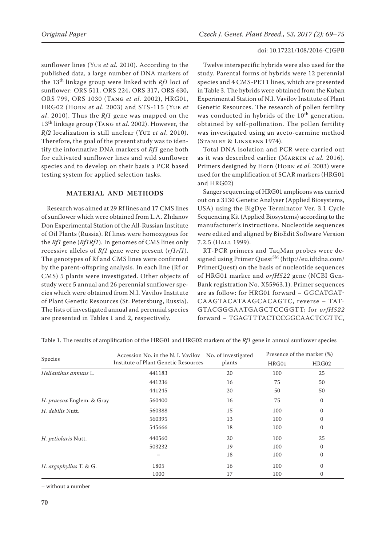sunflower lines (Yue *et al.* 2010). According to the published data, a large number of DNA markers of the 13th linkage group were linked with *Rf1* loci of sunflower: ORS 511, ORS 224, ORS 317, ORS 630, ORS 799, ORS 1030 (Tang *et al.* 2002), HRG01, HRG02 (Horn *et al*. 2003) and STS-115 (Yue *et al*. 2010). Thus the *Rf1* gene was mapped on the 13th linkage group (Tang *et al*. 2002). However, the *Rf2* localization is still unclear (Yue *et al*. 2010). Therefore, the goal of the present study was to identify the informative DNA markers of *Rf1* gene both for cultivated sunflower lines and wild sunflower species and to develop on their basis a PCR based testing system for applied selection tasks.

## **MATERIAL AND METHODS**

Research was aimed at 29 Rf lines and 17 CMS lines of sunflower which were obtained from L.A. Zhdanov Don Experimental Station of the All-Russian Institute of Oil Plants (Russia). Rf lines were homozygous for the *Rf1* gene (*Rf1Rf1*). In genomes of CMS lines only recessive alleles of *Rf1* gene were present (*rf1rf1*). The genotypes of Rf and CMS lines were confirmed by the parent-offspring analysis. In each line (Rf or CMS) 5 plants were investigated. Other objects of study were 5 annual and 26 perennial sunflower species which were obtained from N.I. Vavilov Institute of Plant Genetic Resources (St. Petersburg, Russia). The lists of investigated annual and perennial species are presented in Tables 1 and 2, respectively.

## doi: 10.17221/108/2016-CJGPB

Twelve interspecific hybrids were also used for the study. Parental forms of hybrids were 12 perennial species and 4 CMS-PET1 lines, which are presented in Table 3. The hybrids were obtained from the Kuban Experimental Station of N.I. Vavilov Institute of Plant Genetic Resources. The research of pollen fertility was conducted in hybrids of the 10<sup>th</sup> generation, obtained by self-pollination. The pollen fertility was investigated using an aceto-carmine method (Stanley & Linskens 1974).

Total DNA isolation and PCR were carried out as it was described earlier (Markin *et al.* 2016). Primers designed by Horn (Horn *et al.* 2003) were used for the amplification of SCAR markers (HRG01 and HRG02)

Sanger sequencing of HRG01 amplicons was carried out on a 3130 Genetic Analyser (Applied Biosystems, USA) using the BigDye Terminator Ver. 3.1 Cycle Sequencing Kit (Applied Biosystems) according to the manufacturer's instructions. Nucleotide sequences were edited and aligned by BioEdit Software Version 7.2.5 (Hall 1999).

RT-PCR primers and TaqMan probes were designed using Primer Quest<sup>SM</sup> (http://eu.idtdna.com/ PrimerQuest) on the basis of nucleotide sequences of HRG01 marker and *orfH522* gene (NCBI Gen-Bank registration No. X55963.1). Primer sequences are as follow: for HRG01 forward – GGCATGAT-CAAGTACATAAGCACAGTC, reverse – TAT-GTACGGGAATGAGCTCCGGTT; for *orfH522*  forward – TGAGTTTACTCCGGCAACTCGTTC,

|                           | Accession No. in the N. I. Vavilov No. of investigated |        | Presence of the marker (%) |              |  |  |  |
|---------------------------|--------------------------------------------------------|--------|----------------------------|--------------|--|--|--|
| Species                   | Institute of Plant Genetic Resources                   | plants | HRG01                      | HRG02        |  |  |  |
| Helianthus annuus L.      | 441183                                                 | 20     | 100                        | 25           |  |  |  |
|                           | 441236                                                 | 16     | 75                         | 50           |  |  |  |
|                           | 441245                                                 | 20     | 50                         | 50           |  |  |  |
| H. praecox Englem. & Gray | 560400                                                 | 16     | 75                         | $\mathbf{0}$ |  |  |  |
| H. debilis Nutt.          | 560388                                                 | 15     | 100                        | $\mathbf{0}$ |  |  |  |
|                           | 560395                                                 | 13     | 100                        | $\Omega$     |  |  |  |
|                           | 545666                                                 | 18     | 100                        | $\Omega$     |  |  |  |
| H. petiolaris Nutt.       | 440560                                                 | 20     | 100                        | 25           |  |  |  |
|                           | 503232                                                 | 19     | 100                        | $\Omega$     |  |  |  |
|                           |                                                        | 18     | 100                        | $\mathbf{0}$ |  |  |  |
| H. argophyllus T. & G.    | 1805                                                   | 16     | 100                        | $\mathbf{0}$ |  |  |  |
|                           | 1000                                                   | 17     | 100                        | $\mathbf{0}$ |  |  |  |

Table 1. The results of amplification of the HRG01 and HRG02 markers of the *Rf1* gene in annual sunflower species

– without a number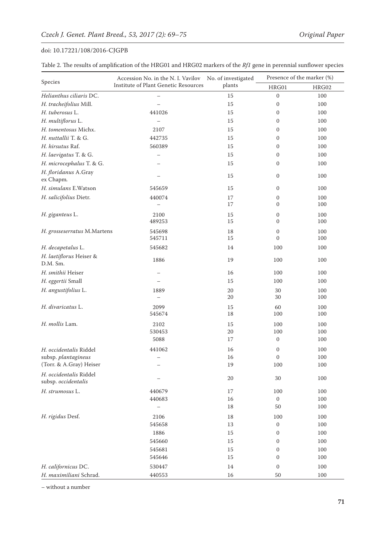| Table 2. The results of amplification of the HRG01 and HRG02 markers of the Rf1 gene in perennial sunflower species |  |
|---------------------------------------------------------------------------------------------------------------------|--|
|---------------------------------------------------------------------------------------------------------------------|--|

|                                   | Accession No. in the N. I. Vavilov No. of investigated |        | Presence of the marker (%) |       |  |  |  |
|-----------------------------------|--------------------------------------------------------|--------|----------------------------|-------|--|--|--|
| Species                           | Institute of Plant Genetic Resources                   | plants | HRG01                      | HRG02 |  |  |  |
| Helianthus ciliaris DC.           |                                                        | 15     | $\boldsymbol{0}$           | 100   |  |  |  |
| H. tracheifolius Mill.            |                                                        | 15     | $\boldsymbol{0}$           | 100   |  |  |  |
| H. tuberosus L.                   | 441026                                                 | 15     | $\mathbf{0}$               | 100   |  |  |  |
| H. multiflorus L.                 |                                                        | 15     | $\mathbf{0}$               | 100   |  |  |  |
| H. tomentosus Michx.              | 2107                                                   | 15     | $\mathbf{0}$               | 100   |  |  |  |
| H. nuttallii T. & G.              | 442735                                                 | 15     | $\mathbf{0}$               | 100   |  |  |  |
| H. hirsutus Raf.                  | 560389                                                 | 15     | $\mathbf{0}$               | 100   |  |  |  |
| H. laevigatus T. & G.             |                                                        | 15     | $\mathbf{0}$               | 100   |  |  |  |
| H. microcephalus T. & G.          |                                                        | 15     | $\mathbf{0}$               | 100   |  |  |  |
| H. floridanus A.Gray<br>ex Chapm. |                                                        | 15     | $\mathbf{0}$               | 100   |  |  |  |
| H. simulans E.Watson              | 545659                                                 | 15     | $\mathbf{0}$               | 100   |  |  |  |
| H. salicifolius Dietr.            | 440074                                                 | 17     | $\mathbf{0}$               | 100   |  |  |  |
|                                   | $\overline{\phantom{0}}$                               | 17     | $\mathbf{0}$               | 100   |  |  |  |
| H. giganteus L.                   | 2100                                                   | 15     | $\mathbf{0}$               | 100   |  |  |  |
|                                   | 489253                                                 | 15     | $\mathbf{0}$               | 100   |  |  |  |
| H. grosseserratus M.Martens       | 545698                                                 | 18     | $\boldsymbol{0}$           | 100   |  |  |  |
|                                   | 545711                                                 | 15     | $\mathbf{0}$               | 100   |  |  |  |
| H. decapetalus L.                 | 545682                                                 | 14     | 100                        | 100   |  |  |  |
| H. laetiflorus Heiser &           | 1886                                                   | 19     | 100                        | 100   |  |  |  |
| D.M. Sm.                          |                                                        |        |                            |       |  |  |  |
| H. smithii Heiser                 |                                                        | 16     | 100                        | 100   |  |  |  |
| H. eggertii Small                 |                                                        | 15     | 100                        | 100   |  |  |  |
| H. angustifolius L.               | 1889                                                   | 20     | 30                         | 100   |  |  |  |
|                                   |                                                        | 20     | 30                         | 100   |  |  |  |
| H. divaricatus L.                 | 2099                                                   | 15     | 60                         | 100   |  |  |  |
|                                   | 545674                                                 | 18     | 100                        | 100   |  |  |  |
| H. mollis Lam.                    | 2102                                                   | 15     | 100                        | 100   |  |  |  |
|                                   | 530453                                                 | 20     | 100                        | 100   |  |  |  |
|                                   | 5088                                                   | 17     | $\mathbf{0}$               | 100   |  |  |  |
| H. occidentalis Riddel            | 441062                                                 | 16     | $\mathbf{0}$               | 100   |  |  |  |
| subsp. plantagineus               | $\qquad \qquad -$                                      | 16     | $\mathbf{0}$               | 100   |  |  |  |
| (Torr. & A.Gray) Heiser           |                                                        | 19     | 100                        | 100   |  |  |  |
| H. occidentalis Riddel            |                                                        | $20\,$ | 30                         | 100   |  |  |  |
| subsp. occidentalis               |                                                        |        |                            |       |  |  |  |
| H. strumosus L.                   | 440679                                                 | 17     | 100                        | 100   |  |  |  |
|                                   | 440683                                                 | 16     | $\mathbf{0}$               | 100   |  |  |  |
|                                   |                                                        | 18     | 50                         | 100   |  |  |  |
| H. rigidus Desf.                  | 2106                                                   | 18     | 100                        | 100   |  |  |  |
|                                   | 545658                                                 | 13     | $\mathbf{0}$               | 100   |  |  |  |
|                                   | 1886                                                   | 15     | $\boldsymbol{0}$           | 100   |  |  |  |
|                                   | 545660                                                 | 15     | $\boldsymbol{0}$           | 100   |  |  |  |
|                                   | 545681                                                 | 15     | $\boldsymbol{0}$           | 100   |  |  |  |
|                                   | 545646                                                 | 15     | $\boldsymbol{0}$           | 100   |  |  |  |
| H. californicus DC.               | 530447                                                 | 14     | $\boldsymbol{0}$           | 100   |  |  |  |
| H. maximiliani Schrad.            | 440553                                                 | 16     | 50                         | 100   |  |  |  |

– without a number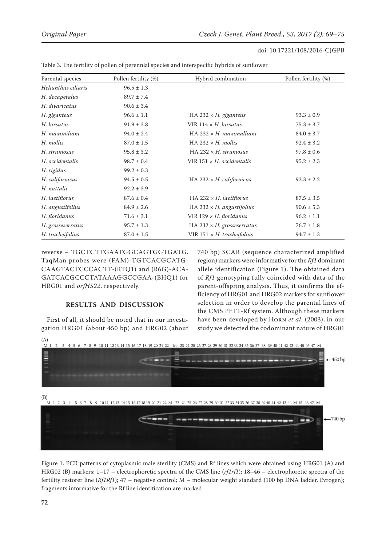| Parental species    | Pollen fertility (%) | Hybrid combination                  | Pollen fertility (%) |  |  |  |  |
|---------------------|----------------------|-------------------------------------|----------------------|--|--|--|--|
| Helianthus ciliaris | $96.5 \pm 1.3$       |                                     |                      |  |  |  |  |
| H. decapetalus      | $89.7 \pm 7.4$       |                                     |                      |  |  |  |  |
| H. divaricatus      | $90.6 \pm 3.4$       |                                     |                      |  |  |  |  |
| H. giganteus        | $96.6 \pm 1.1$       | HA 232 $\times$ H. giganteus        | $93.3 \pm 0.9$       |  |  |  |  |
| H. hirsutus         | $91.9 \pm 3.8$       | VIR $114 \times H$ . hirsutus       | $75.3 \pm 3.7$       |  |  |  |  |
| H. maximiliani      | $94.0 \pm 2.4$       | $HA$ 232 $\times$ H. maximalliani   | $84.0 \pm 3.7$       |  |  |  |  |
| H. mollis           | $87.0 \pm 1.5$       | HA $232 \times H$ . mollis          | $92.4 \pm 3.2$       |  |  |  |  |
| H. strumosus        | $95.8 \pm 3.2$       | HA 232 $\times$ H. strumosus        | $97.8 \pm 0.6$       |  |  |  |  |
| H. occidentalis     | $98.7 \pm 0.4$       | VIR $151 \times H$ , occidentalis   | $95.2 \pm 2.3$       |  |  |  |  |
| H. rigidus          | $99.2 \pm 0.3$       |                                     |                      |  |  |  |  |
| H. californicus     | $94.5 \pm 0.5$       | HA $232 \times H$ . californicus    | $92.3 \pm 2.2$       |  |  |  |  |
| H. nuttalii         | $92.2 \pm 3.9$       |                                     |                      |  |  |  |  |
| H. laetiflorus      | $87.6 \pm 0.4$       | $HA$ 232 $\times$ H. laetiflorus    | $87.5 \pm 3.5$       |  |  |  |  |
| H. angustifolius    | $84.9 \pm 2.6$       | HA 232 $\times$ H. angustifolius    | $90.6 \pm 5.3$       |  |  |  |  |
| H. floridanus       | $71.6 \pm 3.1$       | VIR $129 \times H$ . floridanus     | $96.2 \pm 1.1$       |  |  |  |  |
| H. grosseserratus   | $95.7 \pm 1.3$       | $HA$ 232 $\times$ H. grosseserratus | $76.7 \pm 1.8$       |  |  |  |  |
| H. tracheifolius    | $87.0 \pm 1.5$       | VIR $151 \times H$ . tracheifolius  | $94.7 \pm 1.3$       |  |  |  |  |

Table 3. The fertility of pollen of perennial species and interspecific hybrids of sunflower

reverse – TGCTCTTGAATGGCAGTGGTGATG. TaqMan probes were (FAM)-TGTCACGCATG-CAAGTACTCCCACTT-(RTQ1) and (R6G)-ACA-GATCACGCCCTATAAAGGCCGAA-(BHQ1) for HRG01 and *orfH522*, respectively.

## **RESULTS AND DISCUSSION**

First of all, it should be noted that in our investigation HRG01 (about 450 bp) and HRG02 (about 740 bp) SCAR (sequence characterized amplified region) markers were informative for the *Rf1* dominant allele identification (Figure 1). The obtained data of *Rf1* genotyping fully coincided with data of the parent-offspring analysis. Thus, it confirms the efficiency of HRG01 and HRG02 markers for sunflower selection in order to develop the parental lines of the CMS PET1-Rf system. Although these markers have been developed by Horn *et al*. (2003), in our study we detected the codominant nature of HRG01



Figure 1. PCR patterns of cytoplasmic male sterility (CMS) and Rf lines which were obtained using HRG01 (A) and HRG02 (B) markers: 1–17 – electrophoretic spectra of the CMS line (*rf1rf1*); 18–46 – electrophoretic spectra of the fertility restorer line (*Rf1Rf1*); 47 – negative control; M – molecular weight standard (100 bp DNA ladder, Evrogen); fragments informative for the Rf line identification are marked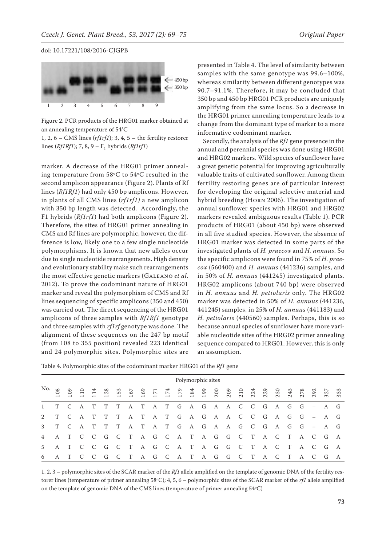

Figure 2. PCR products of the HRG01 marker obtained at an annealing temperature of 54°C

1, 2, 6 – CMS lines (*rf1rf1*); 3, 4, 5 – the fertility restorer lines (*Rf1Rf1*); 7, 8, 9 – F<sub>1</sub> hybrids (*Rf1rf1*)

marker. A decrease of the HRG01 primer annealing temperature from 58ºC to 54ºC resulted in the second amplicon appearance (Figure 2). Plants of Rf lines (*Rf1Rf1*) had only 450 bp amplicons. However, in plants of all CMS lines (*rf1rf1)* a new amplicon with 350 bp length was detected. Accordingly, the F1 hybrids (*Rf1rf1*) had both amplicons (Figure 2). Therefore, the sites of HRG01 primer annealing in CMS and Rf lines are polymorphic, however, the difference is low, likely one to a few single nucleotide polymorphisms. It is known that new alleles occur due to single nucleotide rearrangements. High density and evolutionary stability make such rearrangements the most effective genetic markers (Galeano *et al*. 2012). To prove the codominant nature of HRG01 marker and reveal the polymorphism of CMS and Rf lines sequencing of specific amplicons (350 and 450) was carried out. The direct sequencing of the HRG01 amplicons of three samples with *Rf1Rf1* genotype and three samples with *rf1rf* genotype was done. The alignment of these sequences on the 247 bp motif (from 108 to 355 position) revealed 223 identical and 24 polymorphic sites. Polymorphic sites are

presented in Table 4. The level of similarity between samples with the same genotype was 99.6–100%, whereas similarity between different genotypes was 90.7–91.1%. Therefore, it may be concluded that 350 bp and 450 bp HRG01 PCR products are uniquely amplifying from the same locus. So a decrease in the HRG01 primer annealing temperature leads to a change from the dominant type of marker to a more informative codominant marker.

Secondly, the analysis of the *Rf1* gene presence in the annual and perennial species was done using HRG01 and HRG02 markers. Wild species of sunflower have a great genetic potential for improving agriculturally valuable traits of cultivated sunflower. Among them fertility restoring genes are of particular interest for developing the original selective material and hybrid breeding (Horn 2006). The investigation of annual sunflower species with HRG01 and HRG02 markers revealed ambiguous results (Table 1). PCR products of HRG01 (about 450 bp) were observed in all five studied species. However, the absence of HRG01 marker was detected in some parts of the investigated plants of *H. praecox* and *H. annuus*. So the specific amplicons were found in 75% of *H. praecox* (560400) and *H. annuus* (441236) samples, and in 50% of *H. annuus* (441245) investigated plants. HRG02 amplicons (about 740 bp) were observed in *H. annuus* and *H. petiolaris* only. The HRG02 marker was detected in 50% of *H. annuus* (441236, 441245) samples, in 25% of *H. annuus* (441183) and *H. petiolaris* (440560) samples. Perhaps, this is so because annual species of sunflower have more variable nucleotide sites of the HRG02 primer annealing sequence compared to HRG01. However, this is only an assumption.

Table 4. Polymorphic sites of the codominant marker HRG01 of the *Rf1* gene

|                        | Polymorphic sites |       |                                             |                |              |                |       |   |                |                |  |  |                                 |  |  |   |                |           |         |  |
|------------------------|-------------------|-------|---------------------------------------------|----------------|--------------|----------------|-------|---|----------------|----------------|--|--|---------------------------------|--|--|---|----------------|-----------|---------|--|
| No. $\frac{\infty}{6}$ |                   |       | $\begin{array}{c}\n109 \\ 110\n\end{array}$ | $\frac{1}{4}$  | 128          | 153            | - 167 |   |                |                |  |  |                                 |  |  |   |                |           |         |  |
| $1$ T C                |                   |       | A                                           |                |              | T              | A     | T |                |                |  |  | A T G A G A A C C G A G G – A G |  |  |   |                |           |         |  |
| 2                      | T C               |       | A                                           | T              | T            | T              | A     | T | $\overline{A}$ |                |  |  | T G A G A A C C G A G G – A G   |  |  |   |                |           |         |  |
| $3^{\circ}$            | T C               |       | $\overline{A}$                              |                |              |                | A     | T | A T G          |                |  |  | A G A A G C G                   |  |  |   | AG G           |           | $- A G$ |  |
| $\overline{4}$         |                   | A T C |                                             | $\overline{C}$ | G            | $C$ T          |       |   |                |                |  |  | AGCATAGGCT                      |  |  |   |                | ACTACGA   |         |  |
| $5 -$                  |                   | A T C |                                             | $\overline{C}$ | $\mathsf{G}$ | $\overline{C}$ | T     |   |                |                |  |  | AGCATAGGCTACTACGA               |  |  |   |                |           |         |  |
| 6                      | A T               |       | $\overline{C}$                              | $\mathcal{C}$  | G            | $\overline{C}$ | T     | A | G              | $\overline{C}$ |  |  | ATAGGCT                         |  |  | A | $\overline{C}$ | T A C G A |         |  |

1, 2, 3 – polymorphic sites of the SCAR marker of the *Rf1* allele amplified on the template of genomic DNA of the fertility restorer lines (temperature of primer annealing 58ºC); 4, 5, 6 – polymorphic sites of the SCAR marker of the *rf1* allele amplified on the template of genomic DNA of the CMS lines (temperature of primer annealing 54ºC)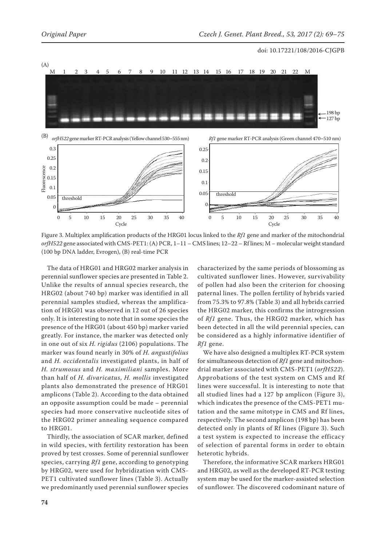

Figure 3. Multiplex amplification products of the HRG01 locus linked to the *Rf1* gene and marker of the mitochondrial *orfH522* gene associated with CMS-PET1: (A) PCR, 1–11 – CMS lines; 12–22 – Rf lines; M – molecular weight standard (100 bp DNA ladder, Evrogen), (B) real-time PCR

The data of HRG01 and HRG02 marker analysis in perennial sunflower species are presented in Table 2. Unlike the results of annual species research, the HRG02 (about 740 bp) marker was identified in all perennial samples studied, whereas the amplification of HRG01 was observed in 12 out of 26 species only. It is interesting to note that in some species the presence of the HRG01 (about 450 bp) marker varied greatly. For instance, the marker was detected only in one out of six *H. rigidus* (2106) populations. The marker was found nearly in 30% of *H. angustifolius* and *H. occidentalis* investigated plants, in half of *H. strumosus* and *H. maximiliani* samples. More than half of *H. divaricatus*, *H. mollis* investigated plants also demonstrated the presence of HRG01 amplicons (Table 2). According to the data obtained an opposite assumption could be made – perennial species had more conservative nucleotide sites of the HRG02 primer annealing sequence compared to HRG01.

Thirdly, the association of SCAR marker, defined in wild species, with fertility restoration has been proved by test crosses. Some of perennial sunflower species, carrying *Rf1* gene, according to genotyping by HRG02, were used for hybridization with CMS-PET1 cultivated sunflower lines (Table 3). Actually we predominantly used perennial sunflower species

characterized by the same periods of blossoming as cultivated sunflower lines. However, survivability of pollen had also been the criterion for choosing paternal lines. The pollen fertility of hybrids varied from 75.3% to 97.8% (Table 3) and all hybrids carried the HRG02 marker, this confirms the introgression of *Rf1* gene. Thus, the HRG02 marker, which has been detected in all the wild perennial species, can be considered as a highly informative identifier of *Rf1* gene.

We have also designed a multiplex RT-PCR system for simultaneous detection of *Rf1* gene and mitochondrial marker associated with CMS-PET1 (*orfH522*). Approbations of the test system on CMS and Rf lines were successful. It is interesting to note that all studied lines had a 127 bp amplicon (Figure 3), which indicates the presence of the CMS-PET1 mutation and the same mitotype in CMS and Rf lines, respectively. The second amplicon (198 bp) has been detected only in plants of Rf lines (Figure 3). Such a test system is expected to increase the efficacy of selection of parental forms in order to obtain heterotic hybrids.

Therefore, the informative SCAR markers HRG01 and HRG02, as well as the developed RT-PCR testing system may be used for the marker-assisted selection of sunflower. The discovered codominant nature of